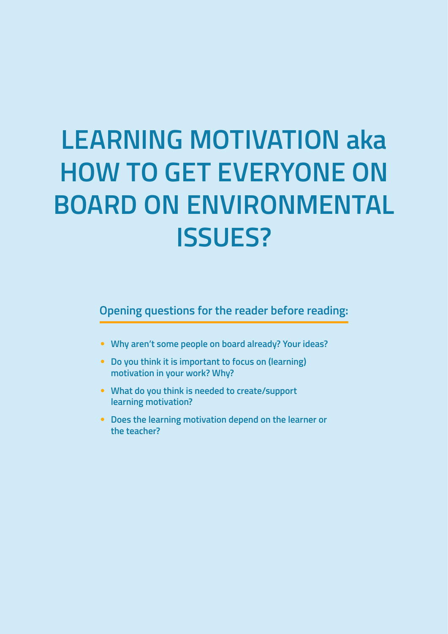# **LEARNING MOTIVATION aka HOW TO GET EVERYONE ON BOARD ON ENVIRONMENTAL ISSUES?**

**Opening questions for the reader before reading:**

- **Why aren't some people on board already? Your ideas?**
- **Do you think it is important to focus on (learning) motivation in your work? Why?**
- **What do you think is needed to create/support learning motivation?**
- **Does the learning motivation depend on the learner or the teacher?**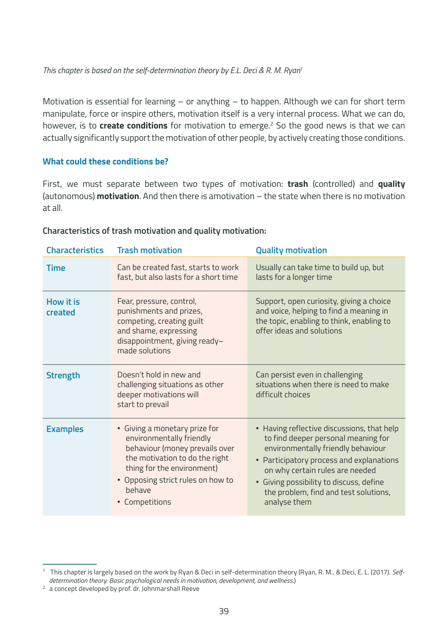*This chapter is based on the self-determination theory by E.L. Deci & R. M. Ryan1*

Motivation is essential for learning – or anything – to happen. Although we can for short term manipulate, force or inspire others, motivation itself is a very internal process. What we can do, however, is to **create conditions** for motivation to emerge.<sup>2</sup> So the good news is that we can actually significantly support the motivation of other people, by actively creating those conditions.

#### **What could these conditions be?**

First, we must separate between two types of motivation: **trash** (controlled) and **quality** (autonomous) **motivation**. And then there is amotivation – the state when there is no motivation at all.

| <b>Characteristics</b> | <b>Trash motivation</b>                                                                                                                                                                                                    | <b>Quality motivation</b>                                                                                                                                                                                                                                                                                  |
|------------------------|----------------------------------------------------------------------------------------------------------------------------------------------------------------------------------------------------------------------------|------------------------------------------------------------------------------------------------------------------------------------------------------------------------------------------------------------------------------------------------------------------------------------------------------------|
| <b>Time</b>            | Can be created fast, starts to work<br>fast, but also lasts for a short time                                                                                                                                               | Usually can take time to build up, but<br>lasts for a longer time                                                                                                                                                                                                                                          |
| How it is<br>created   | Fear, pressure, control,<br>punishments and prizes,<br>competing, creating guilt<br>and shame, expressing<br>disappointment, giving ready-<br>made solutions                                                               | Support, open curiosity, giving a choice<br>and voice, helping to find a meaning in<br>the topic, enabling to think, enabling to<br>offer ideas and solutions                                                                                                                                              |
| <b>Strength</b>        | Doesn't hold in new and<br>challenging situations as other<br>deeper motivations will<br>start to prevail                                                                                                                  | Can persist even in challenging<br>situations when there is need to make<br>difficult choices                                                                                                                                                                                                              |
| <b>Examples</b>        | • Giving a monetary prize for<br>environmentally friendly<br>behaviour (money prevails over<br>the motivation to do the right<br>thing for the environment)<br>• Opposing strict rules on how to<br>hehave<br>Competitions | • Having reflective discussions, that help<br>to find deeper personal meaning for<br>environmentally friendly behaviour<br>• Participatory process and explanations<br>on why certain rules are needed<br>• Giving possibility to discuss, define<br>the problem, find and test solutions,<br>analyse them |

#### **Characteristics of trash motivation and quality motivation:**

<sup>1</sup> This chapter is largely based on the work by Ryan & Deci in self-determination theory (Ryan, R. M., & Deci, E. L. (2017). *Selfdetermination theory: Basic psychological needs in motivation, development, and wellness.*)

<sup>&</sup>lt;sup>2</sup> a concept developed by prof. dr. Johnmarshall Reeve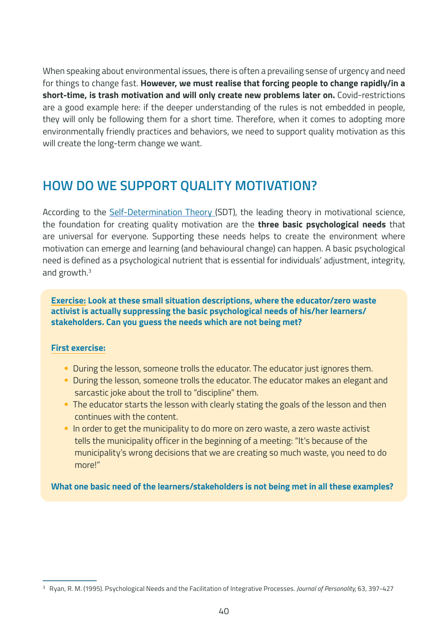When speaking about environmental issues, there is often a prevailing sense of urgency and need for things to change fast. **However, we must realise that forcing people to change rapidly/in a short-time, is trash motivation and will only create new problems later on.** Covid-restrictions are a good example here: if the deeper understanding of the rules is not embedded in people, they will only be following them for a short time. Therefore, when it comes to adopting more environmentally friendly practices and behaviors, we need to support quality motivation as this will create the long-term change we want.

# **HOW DO WE SUPPORT QUALITY MOTIVATION?**

According to the [Self-Determination Theory](https://selfdeterminationtheory.org/) (SDT), the leading theory in motivational science, the foundation for creating quality motivation are the **three basic psychological needs** that are universal for everyone. Supporting these needs helps to create the environment where motivation can emerge and learning (and behavioural change) can happen. A basic psychological need is defined as a psychological nutrient that is essential for individuals' adjustment, integrity, and growth.<sup>3</sup>

**Exercise: Look at these small situation descriptions, where the educator/zero waste activist is actually suppressing the basic psychological needs of his/her learners/ stakeholders. Can you guess the needs which are not being met?**

#### **First exercise:**

- During the lesson, someone trolls the educator. The educator just ignores them.
- During the lesson, someone trolls the educator. The educator makes an elegant and sarcastic joke about the troll to "discipline" them.
- The educator starts the lesson with clearly stating the goals of the lesson and then continues with the content.
- In order to get the municipality to do more on zero waste, a zero waste activist tells the municipality officer in the beginning of a meeting: "It's because of the municipality's wrong decisions that we are creating so much waste, you need to do more!"

**What one basic need of the learners/stakeholders is not being met in all these examples?**

<sup>3</sup> Ryan, R. M. (1995). Psychological Needs and the Facilitation of Integrative Processes. *Journal of Personality,* 63, 397-427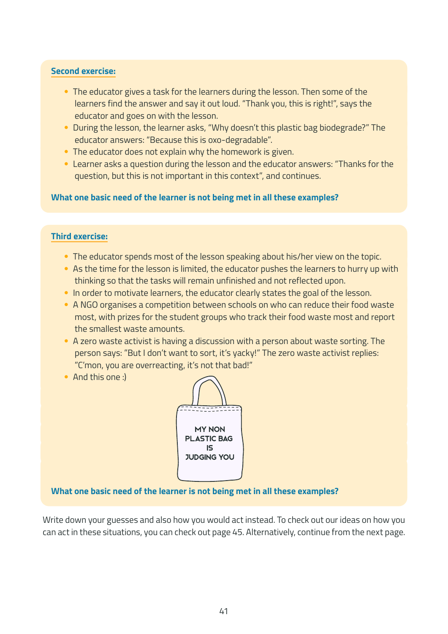#### **Second exercise:**

- The educator gives a task for the learners during the lesson. Then some of the learners find the answer and say it out loud. "Thank you, this is right!", says the educator and goes on with the lesson.
- During the lesson, the learner asks, "Why doesn't this plastic bag biodegrade?" The educator answers: "Because this is oxo-degradable".
- The educator does not explain why the homework is given.
- Learner asks a question during the lesson and the educator answers: "Thanks for the question, but this is not important in this context", and continues.

**What one basic need of the learner is not being met in all these examples?**

#### **Third exercise:**

- The educator spends most of the lesson speaking about his/her view on the topic.
- As the time for the lesson is limited, the educator pushes the learners to hurry up with thinking so that the tasks will remain unfinished and not reflected upon.
- In order to motivate learners, the educator clearly states the goal of the lesson.
- A NGO organises a competition between schools on who can reduce their food waste most, with prizes for the student groups who track their food waste most and report the smallest waste amounts.
- A zero waste activist is having a discussion with a person about waste sorting. The person says: "But I don't want to sort, it's yacky!" The zero waste activist replies: "C'mon, you are overreacting, it's not that bad!"
- And this one :)



**What one basic need of the learner is not being met in all these examples?**

Write down your guesses and also how you would act instead. To check out our ideas on how you can act in these situations, you can check out page 45. Alternatively, continue from the next page.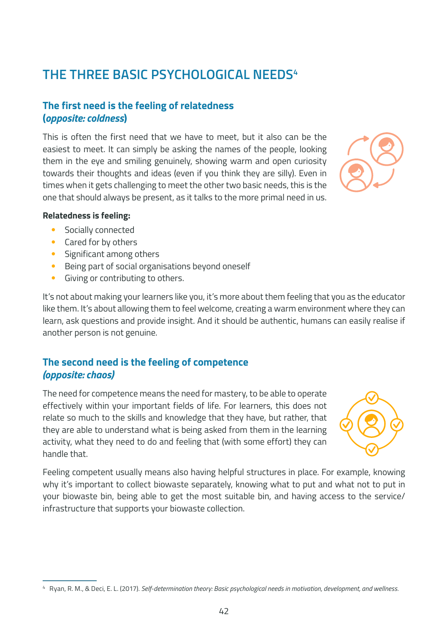# **THE THREE BASIC PSYCHOLOGICAL NEEDS4**

#### **The first need is the feeling of relatedness (***opposite: coldness***)**

This is often the first need that we have to meet, but it also can be the easiest to meet. It can simply be asking the names of the people, looking them in the eye and smiling genuinely, showing warm and open curiosity towards their thoughts and ideas (even if you think they are silly). Even in times when it gets challenging to meet the other two basic needs, this is the one that should always be present, as it talks to the more primal need in us.

#### **Relatedness is feeling:**

- Socially connected
- Cared for by others
- Significant among others
- Being part of social organisations beyond oneself
- Giving or contributing to others.

It's not about making your learners like you, it's more about them feeling that you as the educator like them. It's about allowing them to feel welcome, creating a warm environment where they can learn, ask questions and provide insight. And it should be authentic, humans can easily realise if another person is not genuine.

#### **The second need is the feeling of competence** *(opposite: chaos)*

The need for competence means the need for mastery, to be able to operate effectively within your important fields of life. For learners, this does not relate so much to the skills and knowledge that they have, but rather, that they are able to understand what is being asked from them in the learning activity, what they need to do and feeling that (with some effort) they can handle that.

Feeling competent usually means also having helpful structures in place. For example, knowing why it's important to collect biowaste separately, knowing what to put and what not to put in your biowaste bin, being able to get the most suitable bin, and having access to the service/ infrastructure that supports your biowaste collection.

#### <sup>4</sup> Ryan, R. M., & Deci, E. L. (2017). *Self-determination theory: Basic psychological needs in motivation, development, and wellness.*



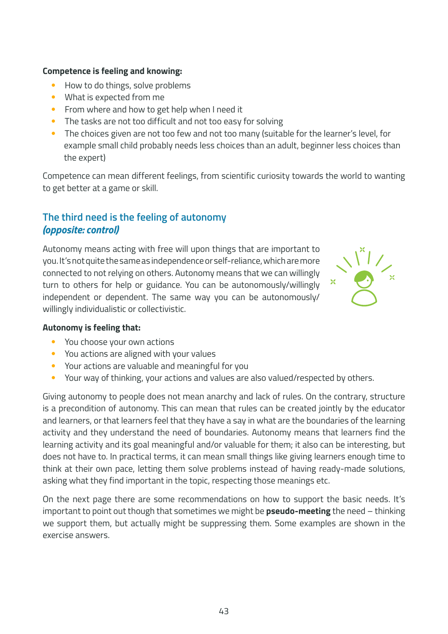#### **Competence is feeling and knowing:**

- How to do things, solve problems
- What is expected from me
- From where and how to get help when I need it
- The tasks are not too difficult and not too easy for solving
- The choices given are not too few and not too many (suitable for the learner's level, for example small child probably needs less choices than an adult, beginner less choices than the expert)

Competence can mean different feelings, from scientific curiosity towards the world to wanting to get better at a game or skill.

#### **The third need is the feeling of autonomy** *(opposite: control)*

Autonomy means acting with free will upon things that are important to you. It's not quite the same as independence or self-reliance, which are more connected to not relying on others. Autonomy means that we can willingly turn to others for help or guidance. You can be autonomously/willingly independent or dependent. The same way you can be autonomously/ willingly individualistic or collectivistic.



#### **Autonomy is feeling that:**

- You choose your own actions
- You actions are aligned with your values
- Your actions are valuable and meaningful for you
- Your way of thinking, your actions and values are also valued/respected by others.

Giving autonomy to people does not mean anarchy and lack of rules. On the contrary, structure is a precondition of autonomy. This can mean that rules can be created jointly by the educator and learners, or that learners feel that they have a say in what are the boundaries of the learning activity and they understand the need of boundaries. Autonomy means that learners find the learning activity and its goal meaningful and/or valuable for them; it also can be interesting, but does not have to. In practical terms, it can mean small things like giving learners enough time to think at their own pace, letting them solve problems instead of having ready-made solutions, asking what they find important in the topic, respecting those meanings etc.

On the next page there are some recommendations on how to support the basic needs. It's important to point out though that sometimes we might be **pseudo-meeting** the need – thinking we support them, but actually might be suppressing them. Some examples are shown in the exercise answers.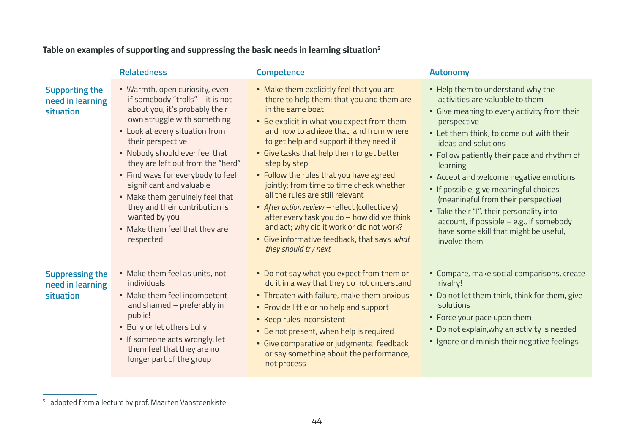|                                                                | <b>Relatedness</b>                                                                                                                                                                                                                                                                                                                                                                                                                                                      | <b>Competence</b>                                                                                                                                                                                                                                                                                                                                                                                                                                                                                                                                                                                                                                         | Autonomy                                                                                                                                                                                                                                                                                                                                                                                                                                                                                                                                          |
|----------------------------------------------------------------|-------------------------------------------------------------------------------------------------------------------------------------------------------------------------------------------------------------------------------------------------------------------------------------------------------------------------------------------------------------------------------------------------------------------------------------------------------------------------|-----------------------------------------------------------------------------------------------------------------------------------------------------------------------------------------------------------------------------------------------------------------------------------------------------------------------------------------------------------------------------------------------------------------------------------------------------------------------------------------------------------------------------------------------------------------------------------------------------------------------------------------------------------|---------------------------------------------------------------------------------------------------------------------------------------------------------------------------------------------------------------------------------------------------------------------------------------------------------------------------------------------------------------------------------------------------------------------------------------------------------------------------------------------------------------------------------------------------|
| <b>Supporting the</b><br>need in learning<br>situation         | • Warmth, open curiosity, even<br>if somebody "trolls" - it is not<br>about you, it's probably their<br>own struggle with something<br>• Look at every situation from<br>their perspective<br>• Nobody should ever feel that<br>they are left out from the "herd"<br>• Find ways for everybody to feel<br>significant and valuable<br>• Make them genuinely feel that<br>they and their contribution is<br>wanted by you<br>• Make them feel that they are<br>respected | • Make them explicitly feel that you are<br>there to help them; that you and them are<br>in the same boat<br>• Be explicit in what you expect from them<br>and how to achieve that; and from where<br>to get help and support if they need it<br>• Give tasks that help them to get better<br>step by step<br>• Follow the rules that you have agreed<br>jointly; from time to time check whether<br>all the rules are still relevant<br>• After action review - reflect (collectively)<br>after every task you do - how did we think<br>and act; why did it work or did not work?<br>• Give informative feedback, that says what<br>they should try next | • Help them to understand why the<br>activities are valuable to them<br>• Give meaning to every activity from their<br>perspective<br>• Let them think, to come out with their<br>ideas and solutions<br>• Follow patiently their pace and rhythm of<br>learning<br>• Accept and welcome negative emotions<br>• If possible, give meaningful choices<br>(meaningful from their perspective)<br>• Take their "I", their personality into<br>$account$ , if possible $-$ e.g., if somebody<br>have some skill that might be useful,<br>involve them |
| <b>Suppressing the</b><br>need in learning<br><b>situation</b> | • Make them feel as units, not<br>individuals<br>• Make them feel incompetent<br>and shamed - preferably in<br>public!<br>• Bully or let others bully<br>• If someone acts wrongly, let<br>them feel that they are no<br>longer part of the group                                                                                                                                                                                                                       | • Do not say what you expect from them or<br>do it in a way that they do not understand<br>• Threaten with failure, make them anxious<br>• Provide little or no help and support<br>• Keep rules inconsistent<br>• Be not present, when help is required<br>• Give comparative or judgmental feedback<br>or say something about the performance,<br>not process                                                                                                                                                                                                                                                                                           | • Compare, make social comparisons, create<br>rivalry!<br>• Do not let them think, think for them, give<br>solutions<br>• Force your pace upon them<br>• Do not explain, why an activity is needed<br>• Ignore or diminish their negative feelings                                                                                                                                                                                                                                                                                                |

### **Table on examples of supporting and suppressing the basic needs in learning situation5**

<sup>5</sup> adopted from a lecture by prof. Maarten Vansteenkiste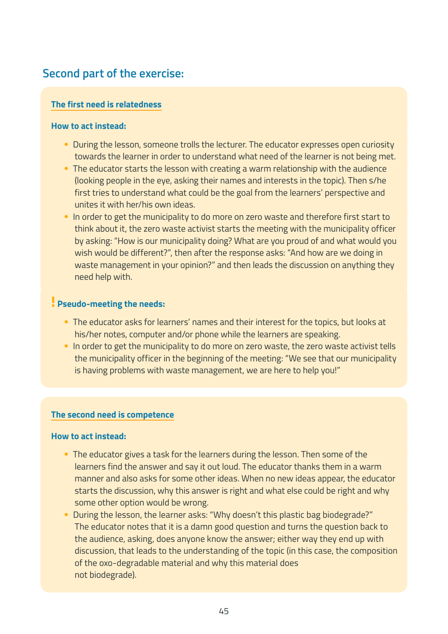## **Second part of the exercise:**

#### **The first need is relatedness**

#### **How to act instead:**

- During the lesson, someone trolls the lecturer. The educator expresses open curiosity towards the learner in order to understand what need of the learner is not being met.
- The educator starts the lesson with creating a warm relationship with the audience (looking people in the eye, asking their names and interests in the topic). Then s/he first tries to understand what could be the goal from the learners' perspective and unites it with her/his own ideas.
- In order to get the municipality to do more on zero waste and therefore first start to think about it, the zero waste activist starts the meeting with the municipality officer by asking: "How is our municipality doing? What are you proud of and what would you wish would be different?", then after the response asks: "And how are we doing in waste management in your opinion?" and then leads the discussion on anything they need help with.

#### **! Pseudo-meeting the needs:**

- The educator asks for learners' names and their interest for the topics, but looks at his/her notes, computer and/or phone while the learners are speaking.
- In order to get the municipality to do more on zero waste, the zero waste activist tells the municipality officer in the beginning of the meeting: "We see that our municipality is having problems with waste management, we are here to help you!"

#### **The second need is competence**

#### **How to act instead:**

- The educator gives a task for the learners during the lesson. Then some of the learners find the answer and say it out loud. The educator thanks them in a warm manner and also asks for some other ideas. When no new ideas appear, the educator starts the discussion, why this answer is right and what else could be right and why some other option would be wrong.
- During the lesson, the learner asks: "Why doesn't this plastic bag biodegrade?" The educator notes that it is a damn good question and turns the question back to the audience, asking, does anyone know the answer; either way they end up with discussion, that leads to the understanding of the topic (in this case, the composition of the oxo-degradable material and why this material does not biodegrade).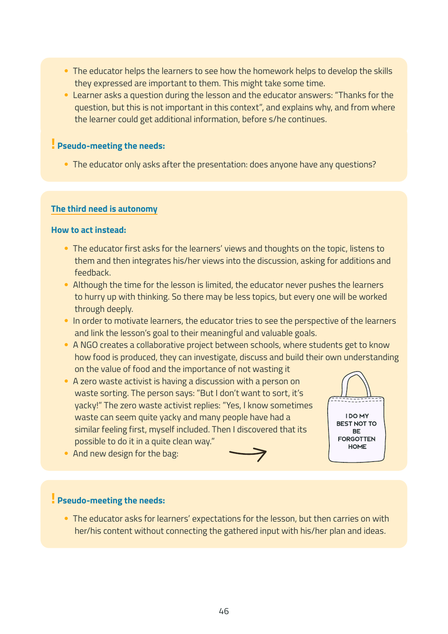- The educator helps the learners to see how the homework helps to develop the skills they expressed are important to them. This might take some time.
- Learner asks a question during the lesson and the educator answers: "Thanks for the question, but this is not important in this context", and explains why, and from where the learner could get additional information, before s/he continues.

#### **! Pseudo-meeting the needs:**

• The educator only asks after the presentation: does anyone have any questions?

#### **The third need is autonomy**

#### **How to act instead:**

- The educator first asks for the learners' views and thoughts on the topic, listens to them and then integrates his/her views into the discussion, asking for additions and feedback.
- Although the time for the lesson is limited, the educator never pushes the learners to hurry up with thinking. So there may be less topics, but every one will be worked through deeply.
- In order to motivate learners, the educator tries to see the perspective of the learners and link the lesson's goal to their meaningful and valuable goals.
- A NGO creates a collaborative project between schools, where students get to know how food is produced, they can investigate, discuss and build their own understanding on the value of food and the importance of not wasting it
- A zero waste activist is having a discussion with a person on waste sorting. The person says: "But I don't want to sort, it's yacky!" The zero waste activist replies: "Yes, I know sometimes waste can seem quite yacky and many people have had a similar feeling first, myself included. Then I discovered that its possible to do it in a quite clean way."



• And new design for the bag:

#### **! Pseudo-meeting the needs:**

• The educator asks for learners' expectations for the lesson, but then carries on with her/his content without connecting the gathered input with his/her plan and ideas.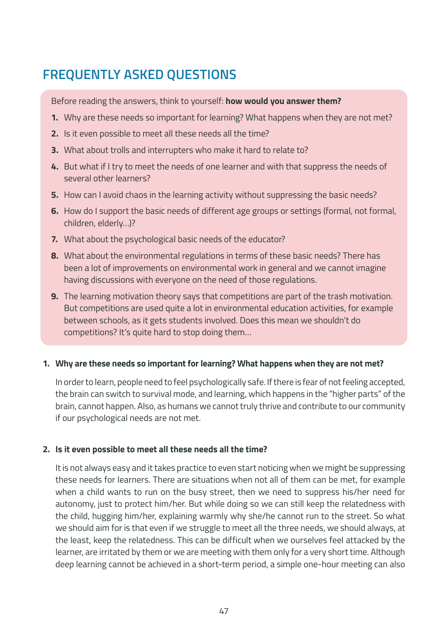# **FREQUENTLY ASKED QUESTIONS**

Before reading the answers, think to yourself: **how would you answer them?**

- **1.** Why are these needs so important for learning? What happens when they are not met?
- **2.** Is it even possible to meet all these needs all the time?
- **3.** What about trolls and interrupters who make it hard to relate to?
- **4.** But what if I try to meet the needs of one learner and with that suppress the needs of several other learners?
- **5.** How can I avoid chaos in the learning activity without suppressing the basic needs?
- **6.** How do I support the basic needs of different age groups or settings (formal, not formal, children, elderly…)?
- **7.** What about the psychological basic needs of the educator?
- **8.** What about the environmental regulations in terms of these basic needs? There has been a lot of improvements on environmental work in general and we cannot imagine having discussions with everyone on the need of those regulations.
- **9.** The learning motivation theory says that competitions are part of the trash motivation. But competitions are used quite a lot in environmental education activities, for example between schools, as it gets students involved. Does this mean we shouldn't do competitions? It's quite hard to stop doing them…

#### **1. Why are these needs so important for learning? What happens when they are not met?**

In order to learn, people need to feel psychologically safe. If there is fear of not feeling accepted, the brain can switch to survival mode, and learning, which happens in the "higher parts" of the brain, cannot happen. Also, as humans we cannot truly thrive and contribute to our community if our psychological needs are not met.

#### **2. Is it even possible to meet all these needs all the time?**

It is not always easy and it takes practice to even start noticing when we might be suppressing these needs for learners. There are situations when not all of them can be met, for example when a child wants to run on the busy street, then we need to suppress his/her need for autonomy, just to protect him/her. But while doing so we can still keep the relatedness with the child, hugging him/her, explaining warmly why she/he cannot run to the street. So what we should aim for is that even if we struggle to meet all the three needs, we should always, at the least, keep the relatedness. This can be difficult when we ourselves feel attacked by the learner, are irritated by them or we are meeting with them only for a very short time. Although deep learning cannot be achieved in a short-term period, a simple one-hour meeting can also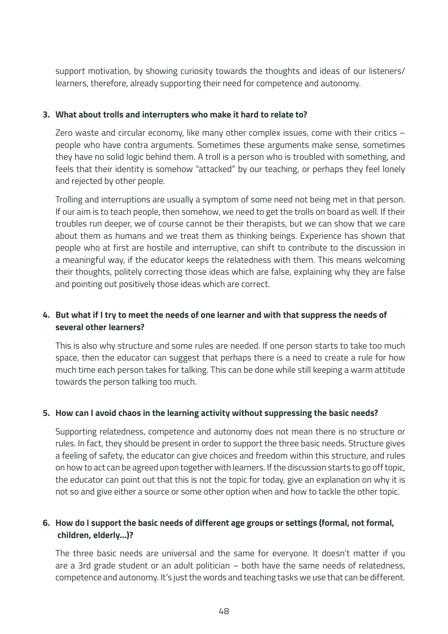support motivation, by showing curiosity towards the thoughts and ideas of our listeners/ learners, therefore, already supporting their need for competence and autonomy.

#### **3. What about trolls and interrupters who make it hard to relate to?**

Zero waste and circular economy, like many other complex issues, come with their critics – people who have contra arguments. Sometimes these arguments make sense, sometimes they have no solid logic behind them. A troll is a person who is troubled with something, and feels that their identity is somehow "attacked" by our teaching, or perhaps they feel lonely and rejected by other people.

Trolling and interruptions are usually a symptom of some need not being met in that person. If our aim is to teach people, then somehow, we need to get the trolls on board as well. If their troubles run deeper, we of course cannot be their therapists, but we can show that we care about them as humans and we treat them as thinking beings. Experience has shown that people who at first are hostile and interruptive, can shift to contribute to the discussion in a meaningful way, if the educator keeps the relatedness with them. This means welcoming their thoughts, politely correcting those ideas which are false, explaining why they are false and pointing out positively those ideas which are correct.

#### **4. But what if I try to meet the needs of one learner and with that suppress the needs of several other learners?**

This is also why structure and some rules are needed. If one person starts to take too much space, then the educator can suggest that perhaps there is a need to create a rule for how much time each person takes for talking. This can be done while still keeping a warm attitude towards the person talking too much.

#### **5. How can I avoid chaos in the learning activity without suppressing the basic needs?**

Supporting relatedness, competence and autonomy does not mean there is no structure or rules. In fact, they should be present in order to support the three basic needs. Structure gives a feeling of safety, the educator can give choices and freedom within this structure, and rules on how to act can be agreed upon together with learners. If the discussion starts to go off topic, the educator can point out that this is not the topic for today, give an explanation on why it is not so and give either a source or some other option when and how to tackle the other topic.

#### **6. How do I support the basic needs of different age groups or settings (formal, not formal, children, elderly…)?**

The three basic needs are universal and the same for everyone. It doesn't matter if you are a 3rd grade student or an adult politician – both have the same needs of relatedness, competence and autonomy. It's just the words and teaching tasks we use that can be different.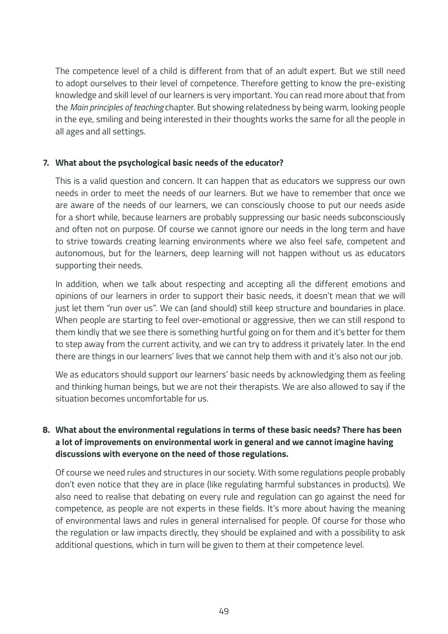The competence level of a child is different from that of an adult expert. But we still need to adopt ourselves to their level of competence. Therefore getting to know the pre-existing knowledge and skill level of our learners is very important. You can read more about that from the *Main principles of teaching* chapter. But showing relatedness by being warm, looking people in the eye, smiling and being interested in their thoughts works the same for all the people in all ages and all settings.

#### **7. What about the psychological basic needs of the educator?**

This is a valid question and concern. It can happen that as educators we suppress our own needs in order to meet the needs of our learners. But we have to remember that once we are aware of the needs of our learners, we can consciously choose to put our needs aside for a short while, because learners are probably suppressing our basic needs subconsciously and often not on purpose. Of course we cannot ignore our needs in the long term and have to strive towards creating learning environments where we also feel safe, competent and autonomous, but for the learners, deep learning will not happen without us as educators supporting their needs.

In addition, when we talk about respecting and accepting all the different emotions and opinions of our learners in order to support their basic needs, it doesn't mean that we will just let them "run over us". We can (and should) still keep structure and boundaries in place. When people are starting to feel over-emotional or aggressive, then we can still respond to them kindly that we see there is something hurtful going on for them and it's better for them to step away from the current activity, and we can try to address it privately later. In the end there are things in our learners' lives that we cannot help them with and it's also not our job.

We as educators should support our learners' basic needs by acknowledging them as feeling and thinking human beings, but we are not their therapists. We are also allowed to say if the situation becomes uncomfortable for us.

#### **8. What about the environmental regulations in terms of these basic needs? There has been a lot of improvements on environmental work in general and we cannot imagine having discussions with everyone on the need of those regulations.**

Of course we need rules and structures in our society. With some regulations people probably don't even notice that they are in place (like regulating harmful substances in products). We also need to realise that debating on every rule and regulation can go against the need for competence, as people are not experts in these fields. It's more about having the meaning of environmental laws and rules in general internalised for people. Of course for those who the regulation or law impacts directly, they should be explained and with a possibility to ask additional questions, which in turn will be given to them at their competence level.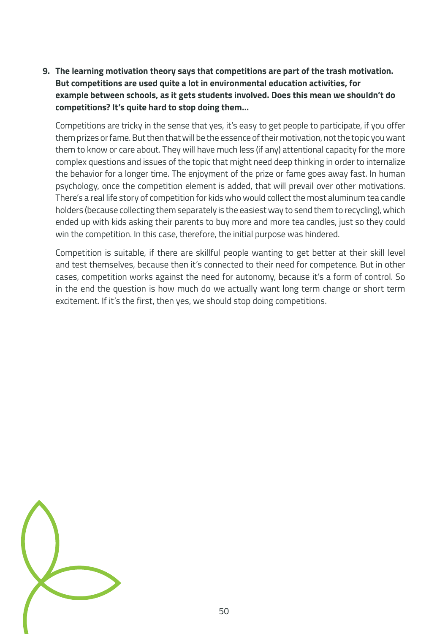**9. The learning motivation theory says that competitions are part of the trash motivation. But competitions are used quite a lot in environmental education activities, for example between schools, as it gets students involved. Does this mean we shouldn't do competitions? It's quite hard to stop doing them…**

Competitions are tricky in the sense that yes, it's easy to get people to participate, if you offer them prizes or fame. But then that will be the essence of their motivation, not the topic you want them to know or care about. They will have much less (if any) attentional capacity for the more complex questions and issues of the topic that might need deep thinking in order to internalize the behavior for a longer time. The enjoyment of the prize or fame goes away fast. In human psychology, once the competition element is added, that will prevail over other motivations. There's a real life story of competition for kids who would collect the most aluminum tea candle holders (because collecting them separately is the easiest way to send them to recycling), which ended up with kids asking their parents to buy more and more tea candles, just so they could win the competition. In this case, therefore, the initial purpose was hindered.

Competition is suitable, if there are skillful people wanting to get better at their skill level and test themselves, because then it's connected to their need for competence. But in other cases, competition works against the need for autonomy, because it's a form of control. So in the end the question is how much do we actually want long term change or short term excitement. If it's the first, then yes, we should stop doing competitions.